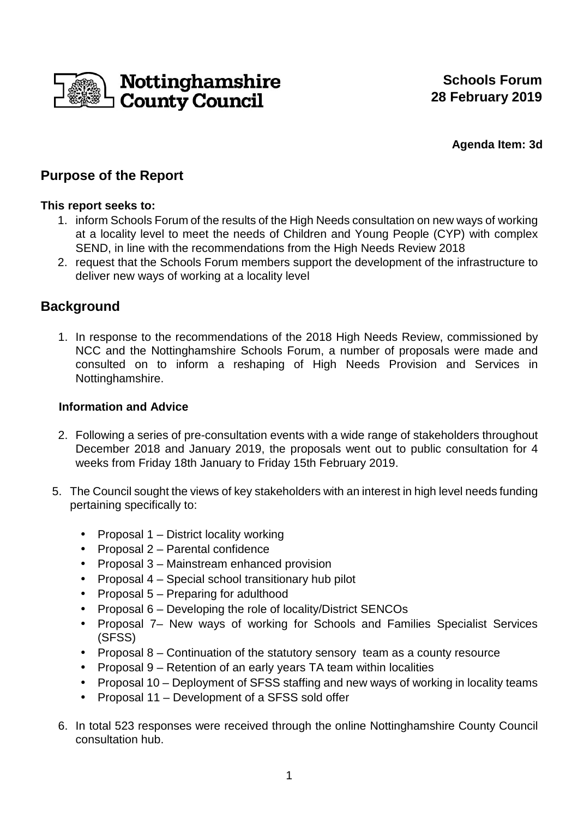

**Agenda Item: 3d** 

# **Purpose of the Report**

## **This report seeks to:**

- 1. inform Schools Forum of the results of the High Needs consultation on new ways of working at a locality level to meet the needs of Children and Young People (CYP) with complex SEND, in line with the recommendations from the High Needs Review 2018
- 2. request that the Schools Forum members support the development of the infrastructure to deliver new ways of working at a locality level

# **Background**

1. In response to the recommendations of the 2018 High Needs Review, commissioned by NCC and the Nottinghamshire Schools Forum, a number of proposals were made and consulted on to inform a reshaping of High Needs Provision and Services in Nottinghamshire.

## **Information and Advice**

- 2. Following a series of pre-consultation events with a wide range of stakeholders throughout December 2018 and January 2019, the proposals went out to public consultation for 4 weeks from Friday 18th January to Friday 15th February 2019.
- 5. The Council sought the views of key stakeholders with an interest in high level needs funding pertaining specifically to:
	- Proposal 1 District locality working
	- Proposal 2 Parental confidence
	- Proposal 3 Mainstream enhanced provision
	- Proposal 4 Special school transitionary hub pilot
	- Proposal 5 Preparing for adulthood
	- Proposal 6 Developing the role of locality/District SENCOs
	- Proposal 7– New ways of working for Schools and Families Specialist Services (SFSS)
	- Proposal 8 Continuation of the statutory sensory team as a county resource
	- Proposal 9 Retention of an early years TA team within localities
	- Proposal 10 Deployment of SFSS staffing and new ways of working in locality teams
	- Proposal 11 Development of a SFSS sold offer
	- 6. In total 523 responses were received through the online Nottinghamshire County Council consultation hub.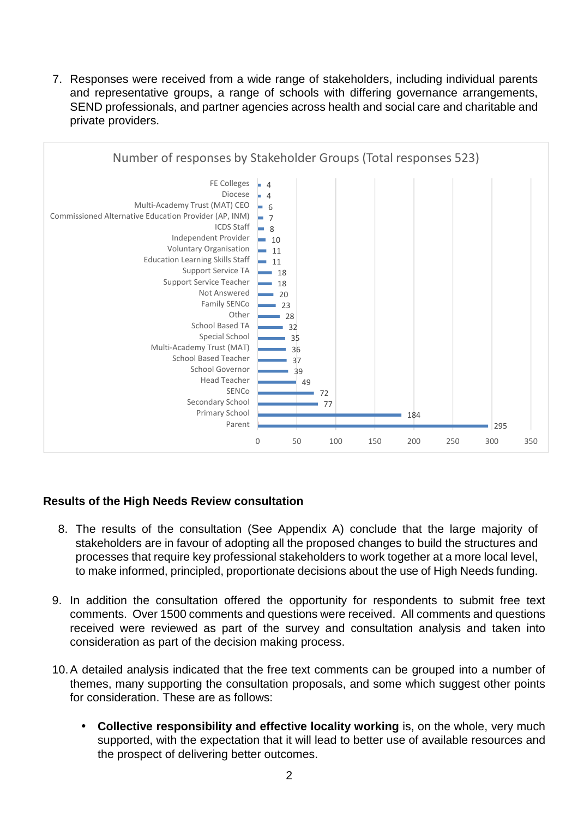7. Responses were received from a wide range of stakeholders, including individual parents and representative groups, a range of schools with differing governance arrangements, SEND professionals, and partner agencies across health and social care and charitable and private providers.



#### **Results of the High Needs Review consultation**

- 8. The results of the consultation (See Appendix A) conclude that the large majority of stakeholders are in favour of adopting all the proposed changes to build the structures and processes that require key professional stakeholders to work together at a more local level, to make informed, principled, proportionate decisions about the use of High Needs funding.
- 9. In addition the consultation offered the opportunity for respondents to submit free text comments. Over 1500 comments and questions were received. All comments and questions received were reviewed as part of the survey and consultation analysis and taken into consideration as part of the decision making process.
- 10. A detailed analysis indicated that the free text comments can be grouped into a number of themes, many supporting the consultation proposals, and some which suggest other points for consideration. These are as follows:
	- **Collective responsibility and effective locality working** is, on the whole, very much supported, with the expectation that it will lead to better use of available resources and the prospect of delivering better outcomes.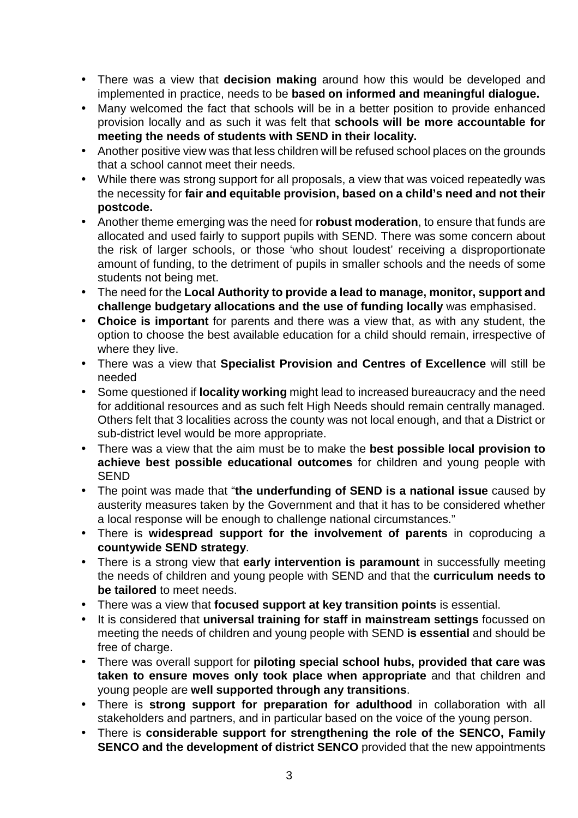- There was a view that **decision making** around how this would be developed and implemented in practice, needs to be **based on informed and meaningful dialogue.**
- Many welcomed the fact that schools will be in a better position to provide enhanced provision locally and as such it was felt that **schools will be more accountable for meeting the needs of students with SEND in their locality.**
- Another positive view was that less children will be refused school places on the grounds that a school cannot meet their needs.
- While there was strong support for all proposals, a view that was voiced repeatedly was the necessity for **fair and equitable provision, based on a child's need and not their postcode.**
- Another theme emerging was the need for **robust moderation**, to ensure that funds are allocated and used fairly to support pupils with SEND. There was some concern about the risk of larger schools, or those 'who shout loudest' receiving a disproportionate amount of funding, to the detriment of pupils in smaller schools and the needs of some students not being met.
- The need for the **Local Authority to provide a lead to manage, monitor, support and challenge budgetary allocations and the use of funding locally** was emphasised.
- **Choice is important** for parents and there was a view that, as with any student, the option to choose the best available education for a child should remain, irrespective of where they live.
- There was a view that **Specialist Provision and Centres of Excellence** will still be needed
- Some questioned if **locality working** might lead to increased bureaucracy and the need for additional resources and as such felt High Needs should remain centrally managed. Others felt that 3 localities across the county was not local enough, and that a District or sub-district level would be more appropriate.
- There was a view that the aim must be to make the **best possible local provision to achieve best possible educational outcomes** for children and young people with SEND
- The point was made that "**the underfunding of SEND is a national issue** caused by austerity measures taken by the Government and that it has to be considered whether a local response will be enough to challenge national circumstances."
- There is **widespread support for the involvement of parents** in coproducing a **countywide SEND strategy**.
- There is a strong view that **early intervention is paramount** in successfully meeting the needs of children and young people with SEND and that the **curriculum needs to be tailored** to meet needs.
- There was a view that **focused support at key transition points** is essential.
- It is considered that **universal training for staff in mainstream settings** focussed on meeting the needs of children and young people with SEND **is essential** and should be free of charge.
- There was overall support for **piloting special school hubs, provided that care was taken to ensure moves only took place when appropriate** and that children and young people are **well supported through any transitions**.
- There is **strong support for preparation for adulthood** in collaboration with all stakeholders and partners, and in particular based on the voice of the young person.
- There is **considerable support for strengthening the role of the SENCO, Family SENCO and the development of district SENCO** provided that the new appointments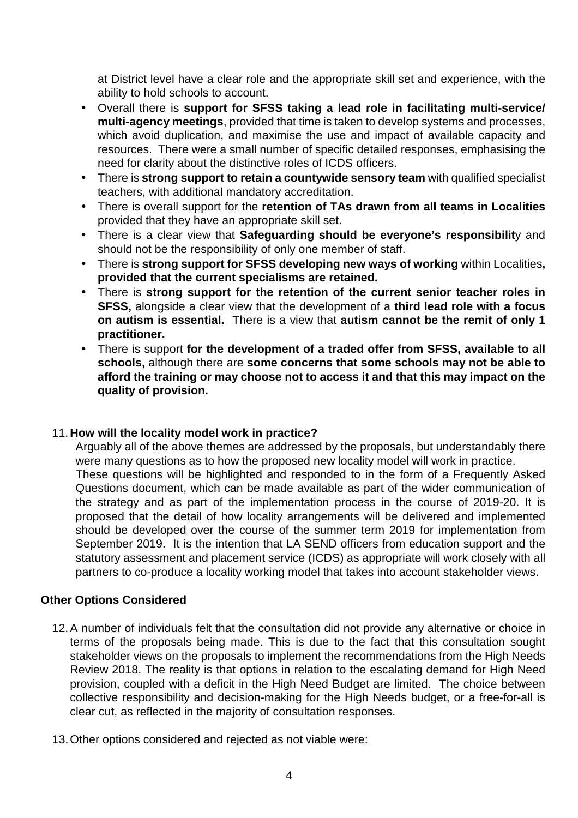at District level have a clear role and the appropriate skill set and experience, with the ability to hold schools to account.

- Overall there is **support for SFSS taking a lead role in facilitating multi-service/ multi-agency meetings**, provided that time is taken to develop systems and processes, which avoid duplication, and maximise the use and impact of available capacity and resources. There were a small number of specific detailed responses, emphasising the need for clarity about the distinctive roles of ICDS officers.
- There is **strong support to retain a countywide sensory team** with qualified specialist teachers, with additional mandatory accreditation.
- There is overall support for the **retention of TAs drawn from all teams in Localities** provided that they have an appropriate skill set.
- There is a clear view that **Safeguarding should be everyone's responsibilit**y and should not be the responsibility of only one member of staff.
- There is **strong support for SFSS developing new ways of working** within Localities**, provided that the current specialisms are retained.**
- There is **strong support for the retention of the current senior teacher roles in SFSS,** alongside a clear view that the development of a **third lead role with a focus on autism is essential.** There is a view that **autism cannot be the remit of only 1 practitioner.**
- There is support **for the development of a traded offer from SFSS, available to all schools,** although there are **some concerns that some schools may not be able to afford the training or may choose not to access it and that this may impact on the quality of provision.**

#### 11. **How will the locality model work in practice?**

Arguably all of the above themes are addressed by the proposals, but understandably there were many questions as to how the proposed new locality model will work in practice. These questions will be highlighted and responded to in the form of a Frequently Asked Questions document, which can be made available as part of the wider communication of the strategy and as part of the implementation process in the course of 2019-20. It is proposed that the detail of how locality arrangements will be delivered and implemented should be developed over the course of the summer term 2019 for implementation from September 2019. It is the intention that LA SEND officers from education support and the statutory assessment and placement service (ICDS) as appropriate will work closely with all partners to co-produce a locality working model that takes into account stakeholder views.

#### **Other Options Considered**

- 12. A number of individuals felt that the consultation did not provide any alternative or choice in terms of the proposals being made. This is due to the fact that this consultation sought stakeholder views on the proposals to implement the recommendations from the High Needs Review 2018. The reality is that options in relation to the escalating demand for High Need provision, coupled with a deficit in the High Need Budget are limited. The choice between collective responsibility and decision-making for the High Needs budget, or a free-for-all is clear cut, as reflected in the majority of consultation responses.
- 13. Other options considered and rejected as not viable were: